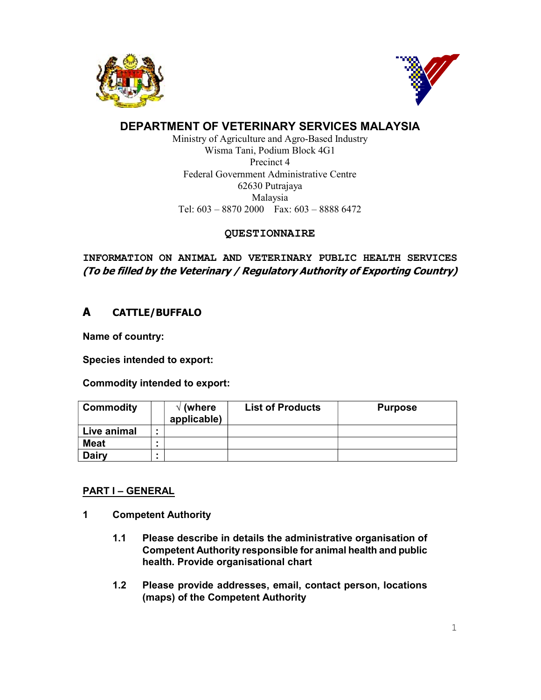



# DEPARTMENT OF VETERINARY SERVICES MALAYSIA

Ministry of Agriculture and Agro-Based Industry Wisma Tani, Podium Block 4G1 Precinct 4 Federal Government Administrative Centre 62630 Putrajaya Malaysia Tel: 603 – 8870 2000 Fax: 603 – 8888 6472

## QUESTIONNAIRE

INFORMATION ON ANIMAL AND VETERINARY PUBLIC HEALTH SERVICES (To be filled by the Veterinary / Regulatory Authority of Exporting Country)

# A CATTLE/BUFFALO

Name of country:

Species intended to export:

Commodity intended to export:

| <b>Commodity</b> | $\sqrt{}$ (where<br>applicable) | <b>List of Products</b> | <b>Purpose</b> |
|------------------|---------------------------------|-------------------------|----------------|
| Live animal      |                                 |                         |                |
| <b>Meat</b>      |                                 |                         |                |
| Dairy            |                                 |                         |                |

# PART I – GENERAL

- 1 Competent Authority
	- 1.1 Please describe in details the administrative organisation of Competent Authority responsible for animal health and public health. Provide organisational chart
	- 1.2 Please provide addresses, email, contact person, locations (maps) of the Competent Authority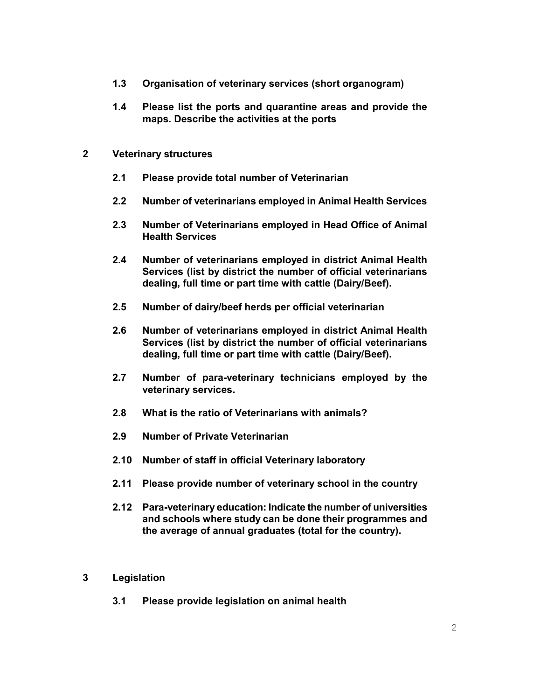- 1.3 Organisation of veterinary services (short organogram)
- 1.4 Please list the ports and quarantine areas and provide the maps. Describe the activities at the ports

#### 2 Veterinary structures

- 2.1 Please provide total number of Veterinarian
- 2.2 Number of veterinarians employed in Animal Health Services
- 2.3 Number of Veterinarians employed in Head Office of Animal Health Services
- 2.4 Number of veterinarians employed in district Animal Health Services (list by district the number of official veterinarians dealing, full time or part time with cattle (Dairy/Beef).
- 2.5 Number of dairy/beef herds per official veterinarian
- 2.6 Number of veterinarians employed in district Animal Health Services (list by district the number of official veterinarians dealing, full time or part time with cattle (Dairy/Beef).
- 2.7 Number of para-veterinary technicians employed by the veterinary services.
- 2.8 What is the ratio of Veterinarians with animals?
- 2.9 Number of Private Veterinarian
- 2.10 Number of staff in official Veterinary laboratory
- 2.11 Please provide number of veterinary school in the country
- 2.12 Para-veterinary education: Indicate the number of universities and schools where study can be done their programmes and the average of annual graduates (total for the country).

#### 3 Legislation

3.1 Please provide legislation on animal health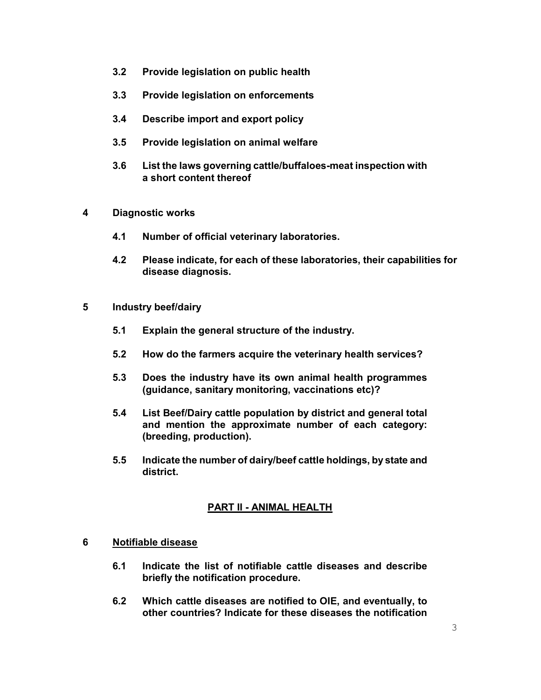- 3.2 Provide legislation on public health
- 3.3 Provide legislation on enforcements
- 3.4 Describe import and export policy
- 3.5 Provide legislation on animal welfare
- 3.6 List the laws governing cattle/buffaloes-meat inspection with a short content thereof
- 4 Diagnostic works
	- 4.1 Number of official veterinary laboratories.
	- 4.2 Please indicate, for each of these laboratories, their capabilities for disease diagnosis.
- 5 Industry beef/dairy
	- 5.1 Explain the general structure of the industry.
	- 5.2 How do the farmers acquire the veterinary health services?
	- 5.3 Does the industry have its own animal health programmes (guidance, sanitary monitoring, vaccinations etc)?
	- 5.4 List Beef/Dairy cattle population by district and general total and mention the approximate number of each category: (breeding, production).
	- 5.5 Indicate the number of dairy/beef cattle holdings, by state and district.

# PART II - ANIMAL HEALTH

### 6 Notifiable disease

- 6.1 Indicate the list of notifiable cattle diseases and describe briefly the notification procedure.
- 6.2 Which cattle diseases are notified to OIE, and eventually, to other countries? Indicate for these diseases the notification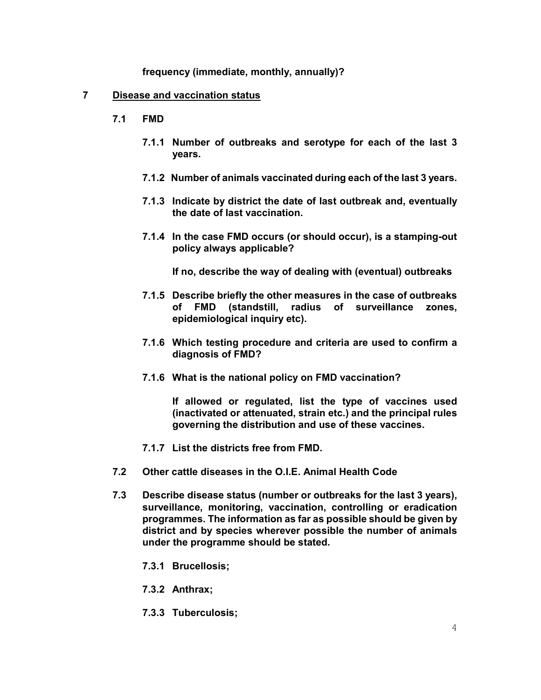frequency (immediate, monthly, annually)?

#### 7 Disease and vaccination status

- 7.1 FMD
	- 7.1.1 Number of outbreaks and serotype for each of the last 3 years.
	- 7.1.2 Number of animals vaccinated during each of the last 3 years.
	- 7.1.3 Indicate by district the date of last outbreak and, eventually the date of last vaccination.
	- 7.1.4 In the case FMD occurs (or should occur), is a stamping-out policy always applicable?

If no, describe the way of dealing with (eventual) outbreaks

- 7.1.5 Describe briefly the other measures in the case of outbreaks of FMD (standstill, radius of surveillance zones, epidemiological inquiry etc).
- 7.1.6 Which testing procedure and criteria are used to confirm a diagnosis of FMD?
- 7.1.6 What is the national policy on FMD vaccination?

If allowed or regulated, list the type of vaccines used (inactivated or attenuated, strain etc.) and the principal rules governing the distribution and use of these vaccines.

- 7.1.7 List the districts free from FMD.
- 7.2 Other cattle diseases in the O.I.E. Animal Health Code
- 7.3 Describe disease status (number or outbreaks for the last 3 years), surveillance, monitoring, vaccination, controlling or eradication programmes. The information as far as possible should be given by district and by species wherever possible the number of animals under the programme should be stated.
	- 7.3.1 Brucellosis;
	- 7.3.2 Anthrax;
	- 7.3.3 Tuberculosis;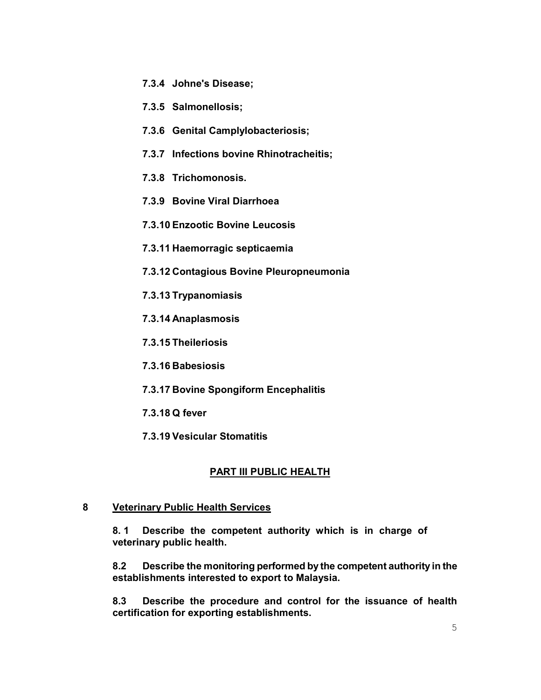- 7.3.4 Johne's Disease;
- 7.3.5 Salmonellosis;
- 7.3.6 Genital Camplylobacteriosis;
- 7.3.7 Infections bovine Rhinotracheitis;
- 7.3.8 Trichomonosis.
- 7.3.9 Bovine Viral Diarrhoea
- 7.3.10 Enzootic Bovine Leucosis
- 7.3.11 Haemorragic septicaemia
- 7.3.12 Contagious Bovine Pleuropneumonia
- 7.3.13 Trypanomiasis
- 7.3.14 Anaplasmosis
- 7.3.15 Theileriosis
- 7.3.16 Babesiosis
- 7.3.17 Bovine Spongiform Encephalitis
- 7.3.18 Q fever
- 7.3.19 Vesicular Stomatitis

# PART III PUBLIC HEALTH

### 8 Veterinary Public Health Services

8. 1 Describe the competent authority which is in charge of veterinary public health.

 8.2 Describe the monitoring performed by the competent authority in the establishments interested to export to Malaysia.

 8.3 Describe the procedure and control for the issuance of health certification for exporting establishments.